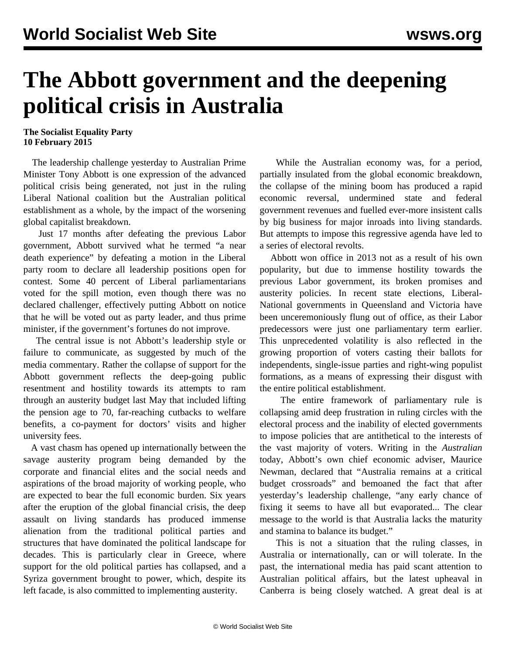## **The Abbott government and the deepening political crisis in Australia**

**The Socialist Equality Party 10 February 2015**

 The leadership challenge yesterday to Australian Prime Minister Tony Abbott is one expression of the advanced political crisis being generated, not just in the ruling Liberal National coalition but the Australian political establishment as a whole, by the impact of the worsening global capitalist breakdown.

 Just 17 months after defeating the previous Labor government, Abbott survived what he termed "a near death experience" by defeating a motion in the Liberal party room to declare all leadership positions open for contest. Some 40 percent of Liberal parliamentarians voted for the spill motion, even though there was no declared challenger, effectively putting Abbott on notice that he will be voted out as party leader, and thus prime minister, if the government's fortunes do not improve.

 The central issue is not Abbott's leadership style or failure to communicate, as suggested by much of the media commentary. Rather the collapse of support for the Abbott government reflects the deep-going public resentment and hostility towards its attempts to ram through an austerity budget last May that included lifting the pension age to 70, far-reaching cutbacks to welfare benefits, a co-payment for doctors' visits and higher university fees.

 A vast chasm has opened up internationally between the savage austerity program being demanded by the corporate and financial elites and the social needs and aspirations of the broad majority of working people, who are expected to bear the full economic burden. Six years after the eruption of the global financial crisis, the deep assault on living standards has produced immense alienation from the traditional political parties and structures that have dominated the political landscape for decades. This is particularly clear in Greece, where support for the old political parties has collapsed, and a Syriza government brought to power, which, despite its left facade, is also committed to implementing austerity.

 While the Australian economy was, for a period, partially insulated from the global economic breakdown, the collapse of the mining boom has produced a rapid economic reversal, undermined state and federal government revenues and fuelled ever-more insistent calls by big business for major inroads into living standards. But attempts to impose this regressive agenda have led to a series of electoral revolts.

 Abbott won office in 2013 not as a result of his own popularity, but due to immense hostility towards the previous Labor government, its broken promises and austerity policies. In recent state elections, Liberal-National governments in Queensland and Victoria have been unceremoniously flung out of office, as their Labor predecessors were just one parliamentary term earlier. This unprecedented volatility is also reflected in the growing proportion of voters casting their ballots for independents, single-issue parties and right-wing populist formations, as a means of expressing their disgust with the entire political establishment.

 The entire framework of parliamentary rule is collapsing amid deep frustration in ruling circles with the electoral process and the inability of elected governments to impose policies that are antithetical to the interests of the vast majority of voters. Writing in the *Australian* today, Abbott's own chief economic adviser, Maurice Newman, declared that "Australia remains at a critical budget crossroads" and bemoaned the fact that after yesterday's leadership challenge, "any early chance of fixing it seems to have all but evaporated... The clear message to the world is that Australia lacks the maturity and stamina to balance its budget."

 This is not a situation that the ruling classes, in Australia or internationally, can or will tolerate. In the past, the international media has paid scant attention to Australian political affairs, but the latest upheaval in Canberra is being closely watched. A great deal is at